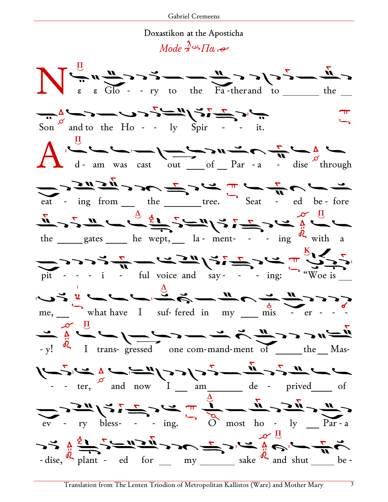## Doxastikon at the Aposticha

Mode  $\pi^2$   $\overline{\Pi}$ a  $\overline{\partial}$